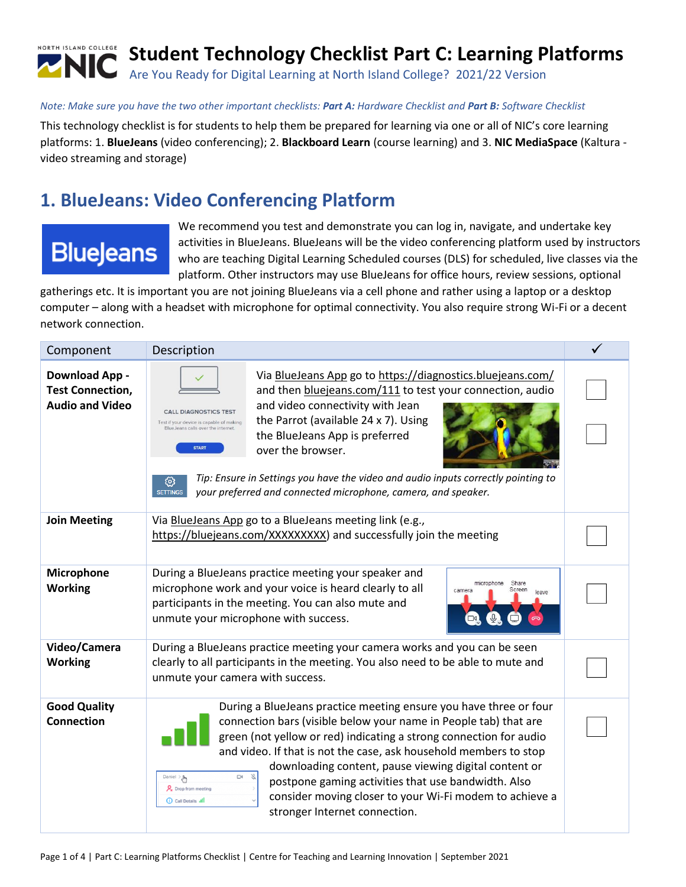

#### *Note: Make sure you have the two other important checklists: Part A: Hardware Checklist and Part B: Software Checklist*

This technology checklist is for students to help them be prepared for learning via one or all of NIC's core learning platforms: 1. **BlueJeans** (video conferencing); 2. **Blackboard Learn** (course learning) and 3. **NIC MediaSpace** (Kaltura video streaming and storage)

### **1. BlueJeans: Video Conferencing Platform**

# **BlueJeans**

We recommend you test and demonstrate you can log in, navigate, and undertake key activities in BlueJeans. BlueJeans will be the video conferencing platform used by instructors who are teaching Digital Learning Scheduled courses (DLS) for scheduled, live classes via the platform. Other instructors may use BlueJeans for office hours, review sessions, optional

gatherings etc. It is important you are not joining BlueJeans via a cell phone and rather using a laptop or a desktop computer – along with a headset with microphone for optimal connectivity. You also require strong Wi-Fi or a decent network connection.

| Component                                                                 | Description                                                                                                                                                                                                                                                                                                                                                                                                                                                                                                                                                                                            |  |
|---------------------------------------------------------------------------|--------------------------------------------------------------------------------------------------------------------------------------------------------------------------------------------------------------------------------------------------------------------------------------------------------------------------------------------------------------------------------------------------------------------------------------------------------------------------------------------------------------------------------------------------------------------------------------------------------|--|
| <b>Download App-</b><br><b>Test Connection,</b><br><b>Audio and Video</b> | Via BlueJeans App go to https://diagnostics.bluejeans.com/<br>and then bluejeans.com/111 to test your connection, audio<br>and video connectivity with Jean<br><b>CALL DIAGNOSTICS TEST</b><br>the Parrot (available 24 x 7). Using<br>Test if your device is capable of making<br>BlueJeans calls over the internet.<br>the BlueJeans App is preferred<br><b>START</b><br>over the browser.<br>Tip: Ensure in Settings you have the video and audio inputs correctly pointing to<br>ශ<br>your preferred and connected microphone, camera, and speaker.<br><b>SETTINGS</b>                             |  |
| <b>Join Meeting</b>                                                       | Via BlueJeans App go to a BlueJeans meeting link (e.g.,<br>https://bluejeans.com/XXXXXXXXX) and successfully join the meeting                                                                                                                                                                                                                                                                                                                                                                                                                                                                          |  |
| Microphone<br><b>Working</b>                                              | During a BlueJeans practice meeting your speaker and<br>microphone<br>Share<br>microphone work and your voice is heard clearly to all<br>Screen<br>camera<br>leave<br>participants in the meeting. You can also mute and<br>unmute your microphone with success.                                                                                                                                                                                                                                                                                                                                       |  |
| Video/Camera<br><b>Working</b>                                            | During a BlueJeans practice meeting your camera works and you can be seen<br>clearly to all participants in the meeting. You also need to be able to mute and<br>unmute your camera with success.                                                                                                                                                                                                                                                                                                                                                                                                      |  |
| <b>Good Quality</b><br>Connection                                         | During a BlueJeans practice meeting ensure you have three or four<br>connection bars (visible below your name in People tab) that are<br>green (not yellow or red) indicating a strong connection for audio<br>and video. If that is not the case, ask household members to stop<br>downloading content, pause viewing digital content or<br>8<br>$\Box$<br>Daniel $\mathbb{R}$<br>postpone gaming activities that use bandwidth. Also<br>Q <sub>c</sub> Drop from meeting<br>consider moving closer to your Wi-Fi modem to achieve a<br><b>(i)</b> Call Details .Ill<br>stronger Internet connection. |  |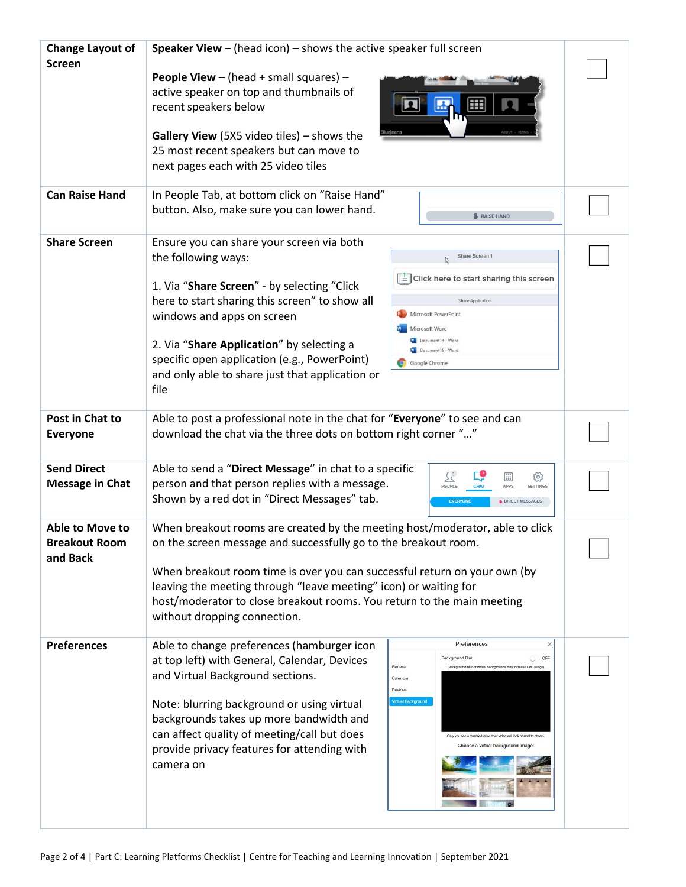| <b>Change Layout of</b>          | <b>Speaker View</b> $-$ (head icon) $-$ shows the active speaker full screen                                                |  |
|----------------------------------|-----------------------------------------------------------------------------------------------------------------------------|--|
| <b>Screen</b>                    |                                                                                                                             |  |
|                                  | <b>People View</b> $-$ (head $+$ small squares) $-$                                                                         |  |
|                                  | active speaker on top and thumbnails of<br>Ħ                                                                                |  |
|                                  | recent speakers below                                                                                                       |  |
|                                  | Gallery View (5X5 video tiles) - shows the                                                                                  |  |
|                                  | 25 most recent speakers but can move to                                                                                     |  |
|                                  | next pages each with 25 video tiles                                                                                         |  |
|                                  |                                                                                                                             |  |
| <b>Can Raise Hand</b>            | In People Tab, at bottom click on "Raise Hand"                                                                              |  |
|                                  | button. Also, make sure you can lower hand.<br><b>A</b> RAISE HAND                                                          |  |
|                                  |                                                                                                                             |  |
| <b>Share Screen</b>              | Ensure you can share your screen via both<br>the following ways:<br>Share Screen 1                                          |  |
|                                  |                                                                                                                             |  |
|                                  | $\equiv$ Click here to start sharing this screen<br>1. Via "Share Screen" - by selecting "Click                             |  |
|                                  | here to start sharing this screen" to show all<br>Share Application                                                         |  |
|                                  | Microsoft PowerPoint<br>windows and apps on screen                                                                          |  |
|                                  | Microsoft Word<br>Document14 - Word                                                                                         |  |
|                                  | 2. Via "Share Application" by selecting a<br>Document15 - Word                                                              |  |
|                                  | specific open application (e.g., PowerPoint)<br>Google Chrome                                                               |  |
|                                  | and only able to share just that application or                                                                             |  |
|                                  | file                                                                                                                        |  |
| Post in Chat to                  | Able to post a professional note in the chat for "Everyone" to see and can                                                  |  |
| <b>Everyone</b>                  | download the chat via the three dots on bottom right corner ""                                                              |  |
|                                  |                                                                                                                             |  |
| <b>Send Direct</b>               | Able to send a "Direct Message" in chat to a specific                                                                       |  |
| <b>Message in Chat</b>           | ≤<br>Ш<br>છે<br>person and that person replies with a message.<br>PEOPLE<br>CHAT<br><b>APPS</b><br><b>SETTINGS</b>          |  |
|                                  | Shown by a red dot in "Direct Messages" tab.<br><b>EVERYONE</b><br><b>DIRECT MESSAGES</b>                                   |  |
|                                  |                                                                                                                             |  |
| Able to Move to                  | When breakout rooms are created by the meeting host/moderator, able to click                                                |  |
| <b>Breakout Room</b><br>and Back | on the screen message and successfully go to the breakout room.                                                             |  |
|                                  | When breakout room time is over you can successful return on your own (by                                                   |  |
|                                  | leaving the meeting through "leave meeting" icon) or waiting for                                                            |  |
|                                  | host/moderator to close breakout rooms. You return to the main meeting                                                      |  |
|                                  | without dropping connection.                                                                                                |  |
| <b>Preferences</b>               | Preferences<br>$\times$                                                                                                     |  |
|                                  | Able to change preferences (hamburger icon<br><b>Background Blur</b><br>at top left) with General, Calendar, Devices<br>OFF |  |
|                                  | General<br>(Background blur or virtual backgrounds may increase CPU usage<br>and Virtual Background sections.<br>Calendar   |  |
|                                  | <b>Devices</b>                                                                                                              |  |
|                                  | <b>Virtual Background</b><br>Note: blurring background or using virtual                                                     |  |
|                                  | backgrounds takes up more bandwidth and                                                                                     |  |
|                                  | can affect quality of meeting/call but does<br>nly you see a mirrored view. Your video will look normal to other            |  |
|                                  | Choose a virtual background image:<br>provide privacy features for attending with                                           |  |
|                                  | camera on                                                                                                                   |  |
|                                  |                                                                                                                             |  |
|                                  |                                                                                                                             |  |
|                                  |                                                                                                                             |  |
|                                  |                                                                                                                             |  |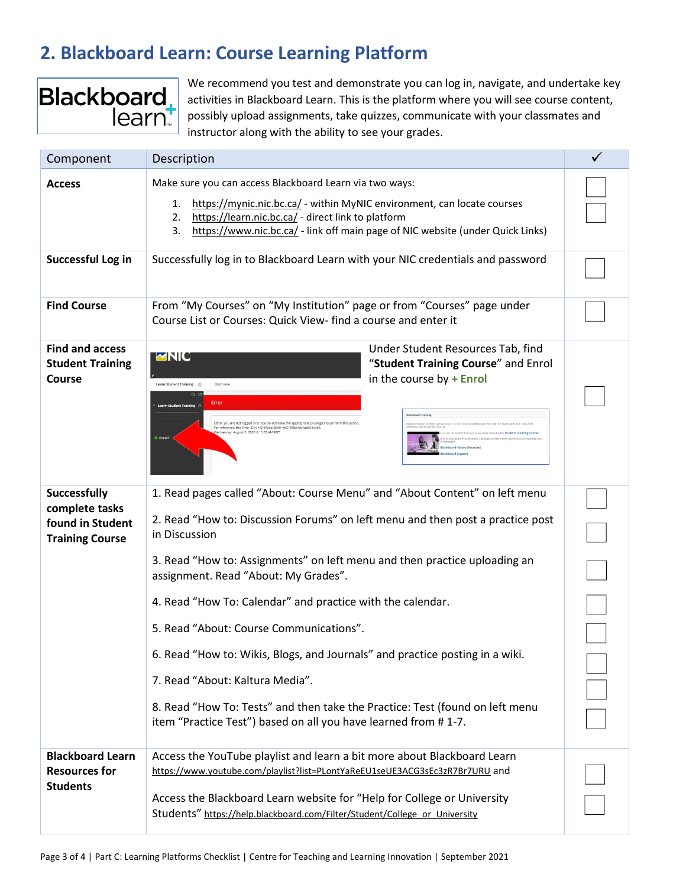# **2. Blackboard Learn: Course Learning Platform**



We recommend you test and demonstrate you can log in, navigate, and undertake key activities in Blackboard Learn. This is the platform where you will see course content, possibly upload assignments, take quizzes, communicate with your classmates and instructor along with the ability to see your grades.

| Component                                                                           | Description                                                                                                                                                                                                                                                                                                                                                                                                                                                                                                                                                                                                                                                                      |  |
|-------------------------------------------------------------------------------------|----------------------------------------------------------------------------------------------------------------------------------------------------------------------------------------------------------------------------------------------------------------------------------------------------------------------------------------------------------------------------------------------------------------------------------------------------------------------------------------------------------------------------------------------------------------------------------------------------------------------------------------------------------------------------------|--|
| <b>Access</b>                                                                       | Make sure you can access Blackboard Learn via two ways:<br>https://mynic.nic.bc.ca/ - within MyNIC environment, can locate courses<br>1.<br>https://learn.nic.bc.ca/ - direct link to platform<br>2.<br>https://www.nic.bc.ca/ - link off main page of NIC website (under Quick Links)<br>3.                                                                                                                                                                                                                                                                                                                                                                                     |  |
| Successful Log in                                                                   | Successfully log in to Blackboard Learn with your NIC credentials and password                                                                                                                                                                                                                                                                                                                                                                                                                                                                                                                                                                                                   |  |
| <b>Find Course</b>                                                                  | From "My Courses" on "My Institution" page or from "Courses" page under<br>Course List or Courses: Quick View- find a course and enter it                                                                                                                                                                                                                                                                                                                                                                                                                                                                                                                                        |  |
| <b>Find and access</b><br><b>Student Training</b><br><b>Course</b>                  | Under Student Resources Tab, find<br>MNIC<br>"Student Training Course" and Enrol<br>in the course by $+$ Enrol<br>Start Her<br>Error<br>Either you are not logged in or you do not have the appropriate privileges to<br>For reference, the Error ID is 442492ab-60e9-4af2-958d-bb4aa804c3e<br>utust 5, 2020 6:15:02 AM PD<br>+ Enroll                                                                                                                                                                                                                                                                                                                                           |  |
| <b>Successfully</b><br>complete tasks<br>found in Student<br><b>Training Course</b> | 1. Read pages called "About: Course Menu" and "About Content" on left menu<br>2. Read "How to: Discussion Forums" on left menu and then post a practice post<br>in Discussion<br>3. Read "How to: Assignments" on left menu and then practice uploading an<br>assignment. Read "About: My Grades".<br>4. Read "How To: Calendar" and practice with the calendar.<br>5. Read "About: Course Communications".<br>6. Read "How to: Wikis, Blogs, and Journals" and practice posting in a wiki.<br>7. Read "About: Kaltura Media".<br>8. Read "How To: Tests" and then take the Practice: Test (found on left menu<br>item "Practice Test") based on all you have learned from #1-7. |  |
| <b>Blackboard Learn</b><br><b>Resources for</b><br><b>Students</b>                  | Access the YouTube playlist and learn a bit more about Blackboard Learn<br>https://www.youtube.com/playlist?list=PLontYaReEU1seUE3ACG3sEc3zR7Br7URU and<br>Access the Blackboard Learn website for "Help for College or University<br>Students" https://help.blackboard.com/Filter/Student/College or University                                                                                                                                                                                                                                                                                                                                                                 |  |